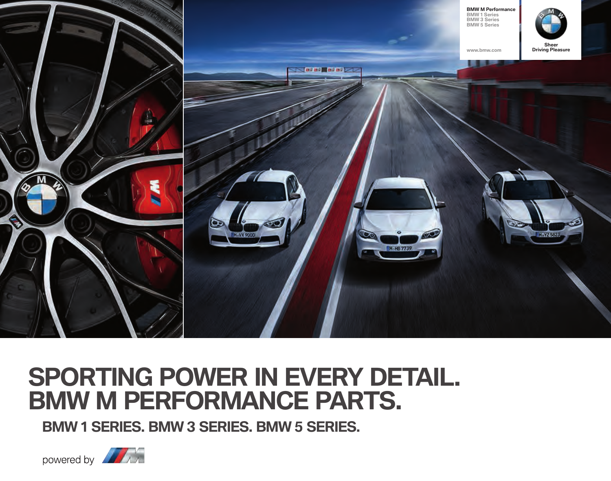

## **SPORTING POWER IN EVERY DETAIL. BMW M PERFORMANCE PARTS.**

**BMW 1 SERIES. BMW 3 SERIES. BMW 5 SERIES.** 

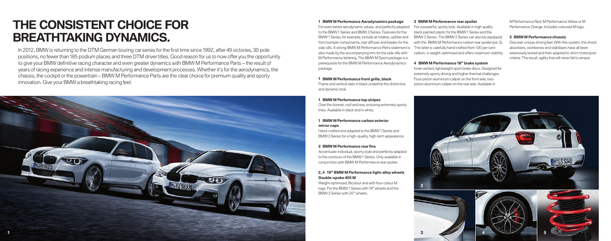# **THE CONSISTENT CHOICE FOR BREATHTAKING DYNAMICS.**

In , BMW is returning to the DTM German touring car series for the fi rst time since , after victories, pole positions, no fewer than 185 podium places and three DTM driver titles. Good reason for us to now offer you the opportunity to give your BMW definitive racing character and even greater dynamics with BMW M Performance Parts – the result of years of racing experience and intense manufacturing and development processes. Whether it's for the aerodynamics, the chassis, the cockpit or the powertrain – BMW M Performance Parts are the clear choice for premium quality and sporty innovation. Give your BMW a breathtaking racing feel.



#### For even better aerodynamic values, and perfectly adapted to the BMW 1 Series and BMW 3 Series. Features for the BMW Series, for example, include air intakes, splitter and front bumper components, rear diffuser and blades for the side sills. A strong BMW M Performance Parts statement is also made by the accompanying trim for the side sills with M Performance lettering. The BMW M Sport package is a prerequisite for the BMW M Performance Aerodynamics package. **BMW M Performance Aerodynamics package BMW M Performance rear spoiler**

Frame and vertical slats in black underline the distinctive and dynamic look. **BMW M Performance front grille, black**

#### **BMW M Performance top stripes**

Over the bonnet, roof and rear, ensuring extremely sporty lines. Available in black and in white.

#### **BMW M Performance carbon exterior mirror caps**

Hand-crafted and adapted to the BMW 1 Series and BMW 3 Series for a high-quality, high-tech appearance.

### **2 BMW M Performance rear fins**

Accentuate individual, sporty style and perfectly adapted to the contours of the BMW 1 Series. Only available in conjunction with BMW M Performance rear spoiler.

#### 2, 4 19" BMW M Performance light-alloy wheels **Double-spoke M**

Weight-optimised, Bicolour and with four-colour M logo. For the BMW 1 Series with 19" wheels and the BMW 3 Series with 20" wheels

#### 3 BMW M Performance rear spoiler

For a powerful, sporty look. Available in high quality black painted plastic for the BMW 1 Series and the BMW 3 Series. The BMW 3 Series can also be equipped with the BMW M Performance carbon rear spoiler (pic 3). The latter is carefully hand-crafted from 100 per cent carbon, is weight-optimised and offers maximum stability.

### **4 BMW M Performance 18" brake system**

Inner-vented, lightweight sport brake discs. Designed for extremely sporty driving and higher thermal challenges. Four-piston aluminium caliper on the front axle, twopiston aluminium caliper on the rear axle. Available in

M Performance Red, M Performance Yellow or M Performance Orange. Includes coloured M logo.

#### **BMW M Performance chassis**

Discover unique driving feel. With this system, the shock absorbers, wishbones and stabilisers have all been extensively tested and then adapted to strict motorsport criteria. The result: agility that will never fail to amaze.



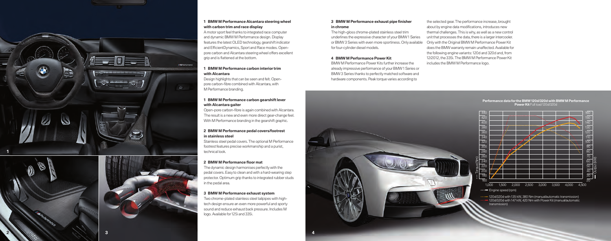

#### **B M W M P e r f o rmance Alcantara s tee ring wheel with car b on trim and r ace displa y**

A motor sport feel thanks to integrated race computer and dynamic BMW M Performance design. Display features the latest OLED technology, gearshift indicator and E ffi cientDynami cs, Sport and R a ce modes. Openpore carbon and Alcantara steering wheel offers excellent grip and is flattened at the bottom. 1 w A ar fe ar p< gr 1 w D, p< M 1 w O Ti W 2 in Si fo te 2 Ti p< pr in 3

#### **B M W M P e r f o rmance car b on int e rio r trim with Alcantar a**

Design highlights that can be seen and felt. Openpore carbon-fibre combined with Alcantara, with M Performance branding.

#### **BMW M Performance carbon gearshift lever with Alcantara gait e r**

Open-pore carbon-fibre is again combined with Alcantara. The resul t is a new and e ven mo re di rec t gea r-change feel. With M Performance branding in the gearshift graphic.

#### BMW M Performance pedal covers/footrest **in stainless s teel**

St ainless s teel pedal c o v ers.The optional M P erf ormance f o o t res t fea tures precise workmanship and a puris t, technical look.

#### **BMW** M Performance floor mat

The dynami c design harmonises perfec tly wi th the pedal covers. Easy to clean and with a hard-wearing step protector. Optimum grip thanks to integrated rubber studs<br>in the pedal area.

#### **BMW M Performance exhaust system**

Two chrome-plated stainless steel tailpipes with high tech design ensure an even more powerful and sporty sound and reduce exhaust back pressure. Includes M logo. Available for 125i and 335i.

**4**

## **in chr ome**

3.in ∏<br>in ∏ur<br>fo<br>4. The high-gloss chrome-plated stainless steel trim underlines the expressive character of your BMW 1 Series o r BM W Series with e ven mo re sportiness. Onl y a v ailable for four-cylinder diesel models.

#### **BMW M Performance Power Kit**

BMW M Performance Power Kits further increase the already impressi ve perf ormance o f y our BM W Series o r BMW 3 Series thanks to perfectly matched software and hardware components. Peak torque varies according to

the selec ted gea r.The perf ormance inc rease, br ought about by engine data modifications, introduces new thermal challenges. This is why, as well as a new control unit that processes the data, there is a larger intercooler. Only with th e Original BMW M P e r for man c e Pow e r Kit does the BMW warranty remain unaffected. Available for does the BMW warranty remain unaffected. Available for<br>the following engine variants: 120d and 320d and, from 12/2012, the 335i. The BMW M Performance Power Kit **BMW M Performance exhaust pipe finisher** the selected gear. The performance increase the high-gloss chrome-plated stainless steel trim about by engine data modifications, into the performance policies the selection of the

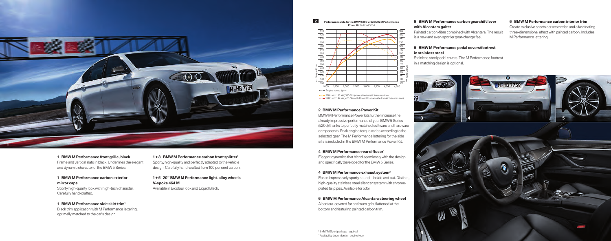

Frame and vertical slats in black. Underlines the elegant and dynamic character of the BMW 5 Series. **BMW M Performance front grille, black**

#### Sporty high-quality look with high-tech character. **BMW M Performance carbon exterior mirror caps**

Carefully hand-crafted.

#### **1 BMW M Performance side skirt trim<sup>1</sup>**

Black trim application with M Performance lettering, optimally matched to the car's design.

Sporty, high-quality and perfectly adapted to the vehicle design. Carefully hand-crafted from 100 per cent carbon. **BMW M Performance carbon front splitter +** 

Available in Bicolour look and Liquid Black. **" BMW M Performance light-alloy wheels + V-spoke M**

**Performance data for the BMW d with BMW M Performance Power Kit** Full load 520d

 $\overline{2}$ 



520d with 135 kW, 380 Nm (manual/automatic transmission)<br>520d with 147 kW, 420 Nm with Power Kit (manual/automatic transmission)

#### **BMW M Performance Power Kit**

BMW M Performance Power kits further increase the already impressive performance of your BMW 5 Series (520d) thanks to perfectly matched software and hardware components. Peak engine torque varies according to the selected gear.The M Performance lettering forthe side sills is included in the BMW M Performance Power Kit.

Elegant dynamics that blend seamlessly with the design and specifically developed for the BMW 5 Series. **BMW M Performance rear diffusor**

For an impressively sporty sound – inside and out. Distinct, high-quality stainless steel silencer system with chromeplated tailpipes. Available for 535i. **BMW M Performance exhaust system**

Alcantara-covered for optimum grip, flattened atthe bottom and featuring painted carbon trim. **BMW M Performance Alcantara steering wheel**

#### **BMW M Performance carbon gearshiftlever with Alcantara gaiter**

Painted carbon-fibre combined with Alcantara.The result is a new and even sportier gear-change feel.

#### **BMW M Performance carbon interior trim**

Create exclusive sports car aesthetics and a fascinating three-dimensional effect with painted carbon. Includes M Performance lettering.

#### **BMW M Performance pedal covers/footrest in stainless steel**

Stainless steel pedal covers.The M Performance footrest in a matching design is optional.



 BMW M Sport package required. Availability dependent on engine type.